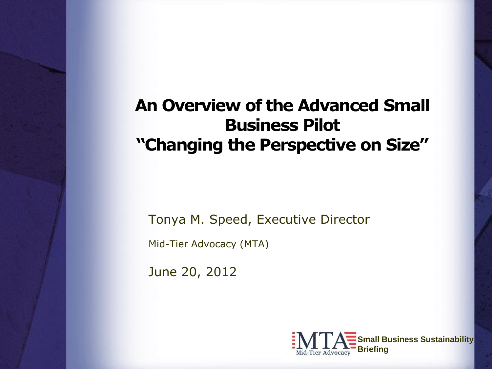## **An Overview of the Advanced Small Business Pilot "Changing the Perspective on Size"**

Tonya M. Speed, Executive Director

Mid-Tier Advocacy (MTA)

June 20, 2012

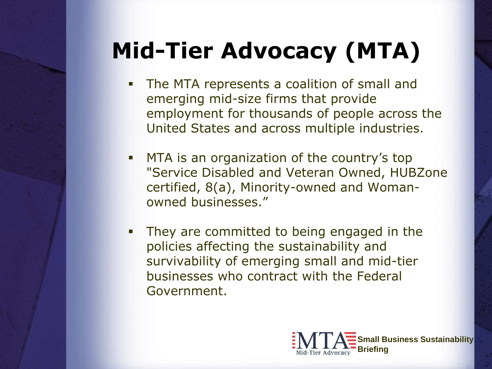# **Mid-Tier Advocacy (MTA)**

- The MTA represents a coalition of small and emerging mid-size firms that provide employment for thousands of people across the United States and across multiple industries.
- **MTA** is an organization of the country's top "Service Disabled and Veteran Owned, HUBZone certified, 8(a), Minority-owned and Womanowned businesses."
- They are committed to being engaged in the policies affecting the sustainability and survivability of emerging small and mid-tier businesses who contract with the Federal Government.

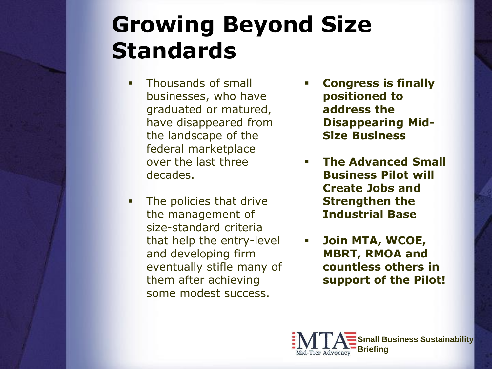# **Growing Beyond Size Standards**

- **Thousands of small** businesses, who have graduated or matured, have disappeared from the landscape of the federal marketplace over the last three decades.
- The policies that drive the management of size-standard criteria that help the entry-level and developing firm eventually stifle many of them after achieving some modest success.
- **Congress is finally positioned to address the Disappearing Mid-Size Business**
- **The Advanced Small Business Pilot will Create Jobs and Strengthen the Industrial Base**
- **Join MTA, WCOE, MBRT, RMOA and countless others in support of the Pilot!**

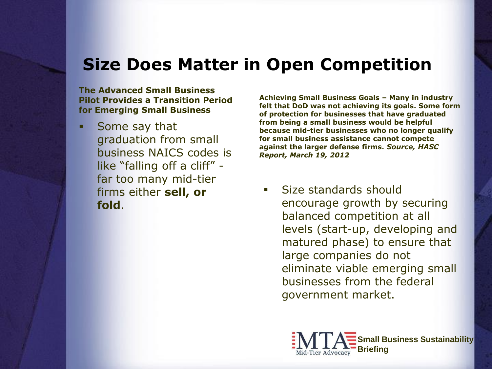## **Size Does Matter in Open Competition**

**The Advanced Small Business Pilot Provides a Transition Period for Emerging Small Business**

 Some say that graduation from small business NAICS codes is like "falling off a cliff" far too many mid-tier firms either **sell, or fold**.

**Achieving Small Business Goals – Many in industry felt that DoD was not achieving its goals. Some form of protection for businesses that have graduated from being a small business would be helpful because mid-tier businesses who no longer qualify for small business assistance cannot compete against the larger defense firms.** *Source, HASC Report, March 19, 2012*

• Size standards should encourage growth by securing balanced competition at all levels (start-up, developing and matured phase) to ensure that large companies do not eliminate viable emerging small businesses from the federal government market.

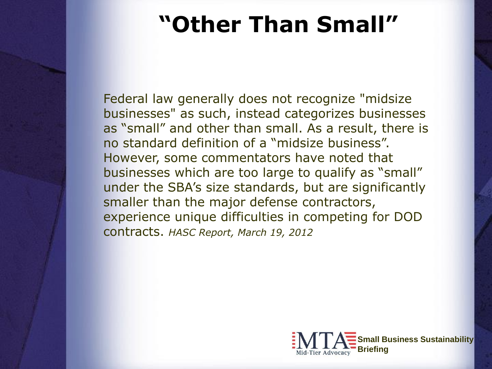## **"Other Than Small"**

Federal law generally does not recognize "midsize businesses" as such, instead categorizes businesses as "small" and other than small. As a result, there is no standard definition of a "midsize business". However, some commentators have noted that businesses which are too large to qualify as "small" under the SBA's size standards, but are significantly smaller than the major defense contractors, experience unique difficulties in competing for DOD contracts. *HASC Report, March 19, 2012*

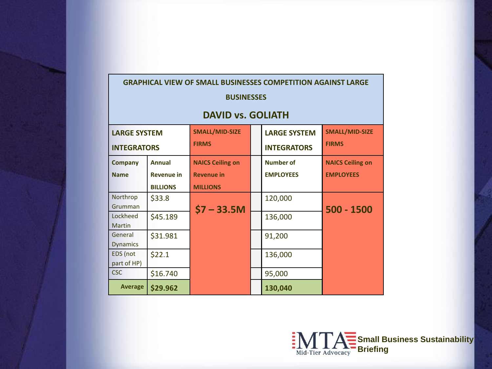| <b>GRAPHICAL VIEW OF SMALL BUSINESSES COMPETITION AGAINST LARGE</b> |                   |                         |  |                     |                         |
|---------------------------------------------------------------------|-------------------|-------------------------|--|---------------------|-------------------------|
| <b>BUSINESSES</b>                                                   |                   |                         |  |                     |                         |
| <b>DAVID vs. GOLIATH</b>                                            |                   |                         |  |                     |                         |
| <b>LARGE SYSTEM</b>                                                 |                   | <b>SMALL/MID-SIZE</b>   |  | <b>LARGE SYSTEM</b> | <b>SMALL/MID-SIZE</b>   |
| <b>INTEGRATORS</b>                                                  |                   | <b>FIRMS</b>            |  | <b>INTEGRATORS</b>  | <b>FIRMS</b>            |
| <b>Company</b>                                                      | <b>Annual</b>     | <b>NAICS Ceiling on</b> |  | <b>Number of</b>    | <b>NAICS Ceiling on</b> |
| <b>Name</b>                                                         | <b>Revenue in</b> | <b>Revenue in</b>       |  | <b>EMPLOYEES</b>    | <b>EMPLOYEES</b>        |
|                                                                     | <b>BILLIONS</b>   | <b>MILLIONS</b>         |  |                     |                         |
| Northrop                                                            | \$33.8            |                         |  | 120,000             |                         |
| Grumman                                                             |                   | $$7 - 33.5M$            |  |                     | $500 - 1500$            |
| Lockheed<br><b>Martin</b>                                           | \$45.189          |                         |  | 136,000             |                         |
| General                                                             | \$31.981          |                         |  | 91,200              |                         |
| <b>Dynamics</b>                                                     |                   |                         |  |                     |                         |
| EDS (not<br>part of HP)                                             | \$22.1            |                         |  | 136,000             |                         |
| <b>CSC</b>                                                          | \$16.740          |                         |  | 95,000              |                         |
| <b>Average</b>                                                      | \$29.962          |                         |  | 130,040             |                         |

**Small Business Sustainability Briefing**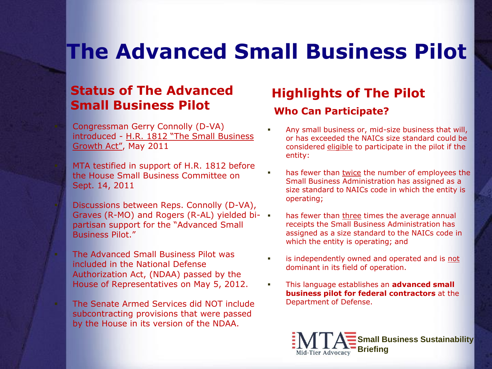## **The Advanced Small Business Pilot**

#### **Status of The Advanced Small Business Pilot**

 Congressman Gerry Connolly (D-VA) introduced - H.R. 1812 "The Small Business Growth Act", May 2011

 MTA testified in support of H.R. 1812 before the House Small Business Committee on Sept. 14, 2011

 Discussions between Reps. Connolly (D-VA), Graves (R-MO) and Rogers (R-AL) yielded bipartisan support for the "Advanced Small Business Pilot."

- The Advanced Small Business Pilot was included in the National Defense Authorization Act, (NDAA) passed by the House of Representatives on May 5, 2012.
- The Senate Armed Services did NOT include subcontracting provisions that were passed by the House in its version of the NDAA.

### **Highlights of The Pilot Who Can Participate?**

- Any small business or, mid-size business that will, or has exceeded the NAICs size standard could be considered eligible to participate in the pilot if the entity:
- has fewer than twice the number of employees the Small Business Administration has assigned as a size standard to NAICs code in which the entity is operating;
	- has fewer than three times the average annual receipts the Small Business Administration has assigned as a size standard to the NAICs code in which the entity is operating; and
- is independently owned and operated and is not dominant in its field of operation.
- This language establishes an **advanced small business pilot for federal contractors** at the Department of Defense.

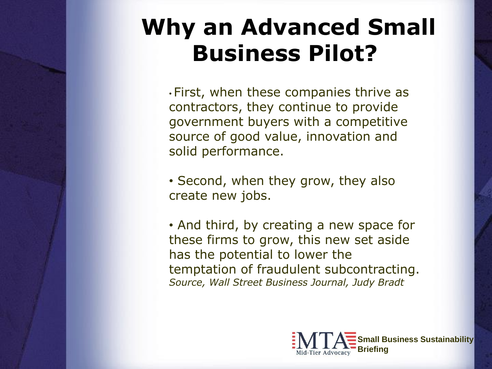# **Why an Advanced Small Business Pilot?**

• First, when these companies thrive as contractors, they continue to provide government buyers with a competitive source of good value, innovation and solid performance.

• Second, when they grow, they also create new jobs.

• And third, by creating a new space for these firms to grow, this new set aside has the potential to lower the temptation of fraudulent subcontracting. *Source, Wall Street Business Journal, Judy Bradt* 

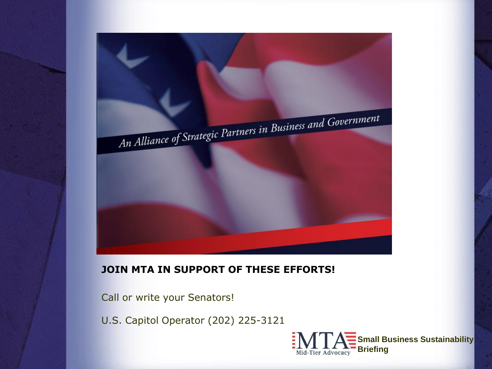

#### **JOIN MTA IN SUPPORT OF THESE EFFORTS!**

Call or write your Senators!

U.S. Capitol Operator (202) 225-3121